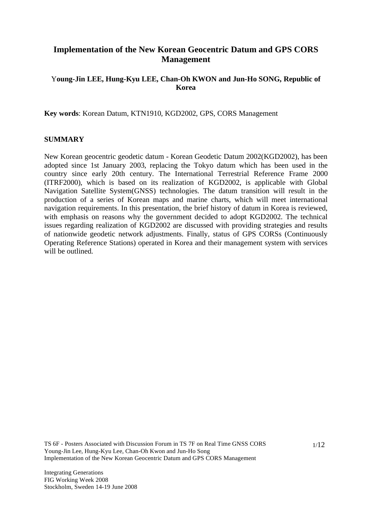# **Implementation of the New Korean Geocentric Datum and GPS CORS Management**

## Y**oung-Jin LEE, Hung-Kyu LEE, Chan-Oh KWON and Jun-Ho SONG, Republic of Korea**

**Key words**: Korean Datum, KTN1910, KGD2002, GPS, CORS Management

#### **SUMMARY**

New Korean geocentric geodetic datum - Korean Geodetic Datum 2002(KGD2002), has been adopted since 1st January 2003, replacing the Tokyo datum which has been used in the country since early 20th century. The International Terrestrial Reference Frame 2000 (ITRF2000), which is based on its realization of KGD2002, is applicable with Global Navigation Satellite System(GNSS) technologies. The datum transition will result in the production of a series of Korean maps and marine charts, which will meet international navigation requirements. In this presentation, the brief history of datum in Korea is reviewed, with emphasis on reasons why the government decided to adopt KGD2002. The technical issues regarding realization of KGD2002 are discussed with providing strategies and results of nationwide geodetic network adjustments. Finally, status of GPS CORSs (Continuously Operating Reference Stations) operated in Korea and their management system with services will be outlined.

TS 6F - Posters Associated with Discussion Forum in TS 7F on Real Time GNSS CORS Young-Jin Lee, Hung-Kyu Lee, Chan-Oh Kwon and Jun-Ho Song Implementation of the New Korean Geocentric Datum and GPS CORS Management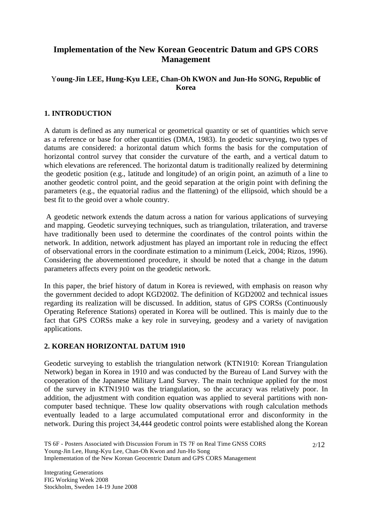# **Implementation of the New Korean Geocentric Datum and GPS CORS Management**

## Y**oung-Jin LEE, Hung-Kyu LEE, Chan-Oh KWON and Jun-Ho SONG, Republic of Korea**

## **1. INTRODUCTION**

A datum is defined as any numerical or geometrical quantity or set of quantities which serve as a reference or base for other quantities (DMA, 1983). In geodetic surveying, two types of datums are considered: a horizontal datum which forms the basis for the computation of horizontal control survey that consider the curvature of the earth, and a vertical datum to which elevations are referenced. The horizontal datum is traditionally realized by determining the geodetic position (e.g., latitude and longitude) of an origin point, an azimuth of a line to another geodetic control point, and the geoid separation at the origin point with defining the parameters (e.g., the equatorial radius and the flattening) of the ellipsoid, which should be a best fit to the geoid over a whole country.

 A geodetic network extends the datum across a nation for various applications of surveying and mapping. Geodetic surveying techniques, such as triangulation, trilateration, and traverse have traditionally been used to determine the coordinates of the control points within the network. In addition, network adjustment has played an important role in reducing the effect of observational errors in the coordinate estimation to a minimum (Leick, 2004; Rizos, 1996). Considering the abovementioned procedure, it should be noted that a change in the datum parameters affects every point on the geodetic network.

In this paper, the brief history of datum in Korea is reviewed, with emphasis on reason why the government decided to adopt KGD2002. The definition of KGD2002 and technical issues regarding its realization will be discussed. In addition, status of GPS CORSs (Continuously Operating Reference Stations) operated in Korea will be outlined. This is mainly due to the fact that GPS CORSs make a key role in surveying, geodesy and a variety of navigation applications.

#### **2. KOREAN HORIZONTAL DATUM 1910**

Geodetic surveying to establish the triangulation network (KTN1910: Korean Triangulation Network) began in Korea in 1910 and was conducted by the Bureau of Land Survey with the cooperation of the Japanese Military Land Survey. The main technique applied for the most of the survey in KTN1910 was the triangulation, so the accuracy was relatively poor. In addition, the adjustment with condition equation was applied to several partitions with noncomputer based technique. These low quality observations with rough calculation methods eventually leaded to a large accumulated computational error and disconformity in the network. During this project 34,444 geodetic control points were established along the Korean

TS 6F - Posters Associated with Discussion Forum in TS 7F on Real Time GNSS CORS Young-Jin Lee, Hung-Kyu Lee, Chan-Oh Kwon and Jun-Ho Song Implementation of the New Korean Geocentric Datum and GPS CORS Management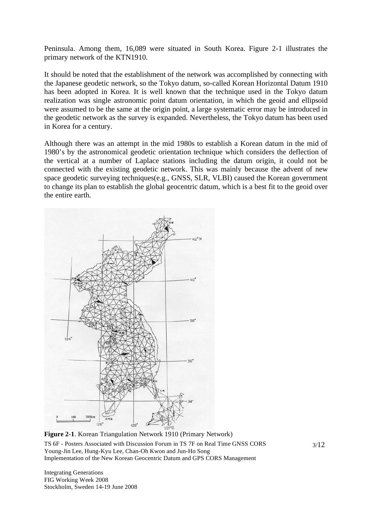Peninsula. Among them, 16,089 were situated in South Korea. Figure 2-1 illustrates the primary network of the KTN1910.

It should be noted that the establishment of the network was accomplished by connecting with the Japanese geodetic network, so the Tokyo datum, so-called Korean Horizontal Datum 1910 has been adopted in Korea. It is well known that the technique used in the Tokyo datum realization was single astronomic point datum orientation, in which the geoid and ellipsoid were assumed to be the same at the origin point, a large systematic error may be introduced in the geodetic network as the survey is expanded. Nevertheless, the Tokyo datum has been used in Korea for a century.

Although there was an attempt in the mid 1980s to establish a Korean datum in the mid of 1980's by the astronomical geodetic orientation technique which considers the deflection of the vertical at a number of Laplace stations including the datum origin, it could not be connected with the existing geodetic network. This was mainly because the advent of new space geodetic surveying techniques(e.g., GNSS, SLR, VLBI) caused the Korean government to change its plan to establish the global geocentric datum, which is a best fit to the geoid over the entire earth.



TS 6F - Posters Associated with Discussion Forum in TS 7F on Real Time GNSS CORS Young-Jin Lee, Hung-Kyu Lee, Chan-Oh Kwon and Jun-Ho Song Implementation of the New Korean Geocentric Datum and GPS CORS Management **Figure 2-1**. Korean Triangulation Network 1910 (Primary Network)

Integrating Generations FIG Working Week 2008 Stockholm, Sweden 14-19 June 2008 3/12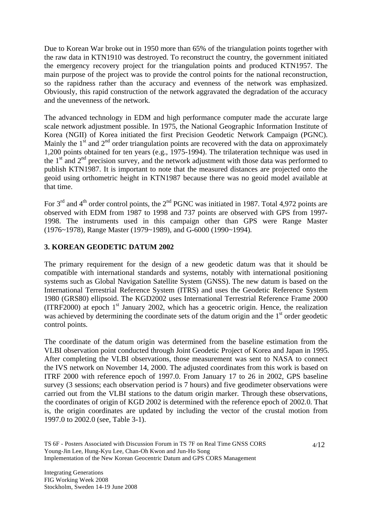Due to Korean War broke out in 1950 more than 65% of the triangulation points together with the raw data in KTN1910 was destroyed. To reconstruct the country, the government initiated the emergency recovery project for the triangulation points and produced KTN1957. The main purpose of the project was to provide the control points for the national reconstruction, so the rapidness rather than the accuracy and evenness of the network was emphasized. Obviously, this rapid construction of the network aggravated the degradation of the accuracy and the unevenness of the network.

The advanced technology in EDM and high performance computer made the accurate large scale network adjustment possible. In 1975, the National Geographic Information Institute of Korea (NGII) of Korea initiated the first Precision Geodetic Network Campaign (PGNC). Mainly the  $1<sup>st</sup>$  and  $2<sup>nd</sup>$  order triangulation points are recovered with the data on approximately 1,200 points obtained for ten years (e.g., 1975-1994). The trilateration technique was used in the  $1<sup>st</sup>$  and  $2<sup>nd</sup>$  precision survey, and the network adjustment with those data was performed to publish KTN1987. It is important to note that the measured distances are projected onto the geoid using orthometric height in KTN1987 because there was no geoid model available at that time.

For  $3<sup>rd</sup>$  and  $4<sup>th</sup>$  order control points, the  $2<sup>nd</sup>$  PGNC was initiated in 1987. Total 4,972 points are observed with EDM from 1987 to 1998 and 737 points are observed with GPS from 1997- 1998. The instruments used in this campaign other than GPS were Range Master (1976~1978), Range Master (1979~1989), and G-6000 (1990~1994).

## **3. KOREAN GEODETIC DATUM 2002**

The primary requirement for the design of a new geodetic datum was that it should be compatible with international standards and systems, notably with international positioning systems such as Global Navigation Satellite System (GNSS). The new datum is based on the International Terrestrial Reference System (ITRS) and uses the Geodetic Reference System 1980 (GRS80) ellipsoid. The KGD2002 uses International Terrestrial Reference Frame 2000 (ITRF2000) at epoch  $1<sup>st</sup>$  January 2002, which has a geocetric origin. Hence, the realization was achieved by determining the coordinate sets of the datum origin and the  $1<sup>st</sup>$  order geodetic control points.

The coordinate of the datum origin was determined from the baseline estimation from the VLBI observation point conducted through Joint Geodetic Project of Korea and Japan in 1995. After completing the VLBI observations, those measurement was sent to NASA to connect the IVS network on November 14, 2000. The adjusted coordinates from this work is based on ITRF 2000 with reference epoch of 1997.0. From January 17 to 26 in 2002, GPS baseline survey (3 sessions; each observation period is 7 hours) and five geodimeter observations were carried out from the VLBI stations to the datum origin marker. Through these observations, the coordinates of origin of KGD 2002 is determined with the reference epoch of 2002.0. That is, the origin coordinates are updated by including the vector of the crustal motion from 1997.0 to 2002.0 (see, Table 3-1).

TS 6F - Posters Associated with Discussion Forum in TS 7F on Real Time GNSS CORS Young-Jin Lee, Hung-Kyu Lee, Chan-Oh Kwon and Jun-Ho Song Implementation of the New Korean Geocentric Datum and GPS CORS Management

4/12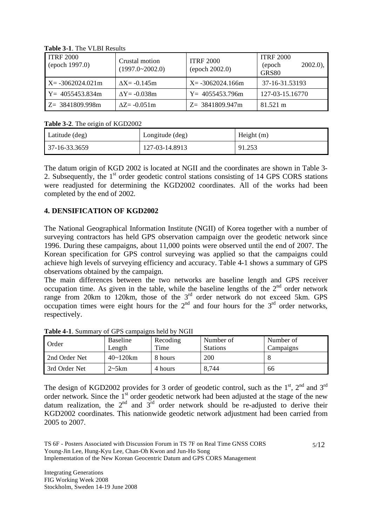| <b>ITRF 2000</b><br>(epoch 1997.0) | Crustal motion<br>$(1997.0 \times 2002.0)$ | <b>ITRF 2000</b><br>(epoch 2002.0) | <b>ITRF 2000</b><br>$2002.0$ ,<br>(epoch<br>GRS80 |
|------------------------------------|--------------------------------------------|------------------------------------|---------------------------------------------------|
| $X = -3062024.021m$                | $\Delta X = -0.145$ m                      | $X = -3062024.166m$                | 37-16-31.53193                                    |
| $Y = 4055453.834m$                 | $\Delta Y = -0.038$ m                      | $Y = 4055453.796m$                 | 127-03-15.16770                                   |
| $Z = 3841809.998m$                 | $\Delta Z = -0.051$ m                      | $Z = 3841809.947m$                 | 81.521 m                                          |

**Table 3-1**. The VLBI Results

**Table 3-2**. The origin of KGD2002

| Latitude (deg) | Longitude (deg) | Height $(m)$ |
|----------------|-----------------|--------------|
| 37-16-33.3659  | 127-03-14.8913  | 91.253       |

The datum origin of KGD 2002 is located at NGII and the coordinates are shown in Table 3- 2. Subsequently, the 1<sup>st</sup> order geodetic control stations consisting of 14 GPS CORS stations were readjusted for determining the KGD2002 coordinates. All of the works had been completed by the end of 2002.

# **4. DENSIFICATION OF KGD2002**

The National Geographical Information Institute (NGII) of Korea together with a number of surveying contractors has held GPS observation campaign over the geodetic network since 1996. During these campaigns, about 11,000 points were observed until the end of 2007. The Korean specification for GPS control surveying was applied so that the campaigns could achieve high levels of surveying efficiency and accuracy. Table 4-1 shows a summary of GPS observations obtained by the campaign.

The main differences between the two networks are baseline length and GPS receiver occupation time. As given in the table, while the baseline lengths of the  $2<sup>nd</sup>$  order network range from 20km to 120km, those of the  $3<sup>rd</sup>$  order network do not exceed 5km. GPS occupation times were eight hours for the  $2<sup>nd</sup>$  and four hours for the  $3<sup>rd</sup>$  order networks, respectively.

| Order         | <b>Baseline</b><br>Length | Recoding<br>Time | Number of<br><b>Stations</b> | Number of<br>Campaigns |
|---------------|---------------------------|------------------|------------------------------|------------------------|
| 2nd Order Net | $40 - 120$ km             | 8 hours          | 200                          |                        |
| 3rd Order Net | $2 \sim 5 \text{km}$      | 4 hours          | 8.744                        | 66                     |

**Table 4-1**. Summary of GPS campaigns held by NGII

The design of KGD2002 provides for 3 order of geodetic control, such as the  $1<sup>st</sup>$ ,  $2<sup>nd</sup>$  and  $3<sup>rd</sup>$ order network. Since the  $1<sup>st</sup>$  order geodetic network had been adjusted at the stage of the new datum realization, the  $2<sup>nd</sup>$  and  $3<sup>rd</sup>$  order network should be re-adjusted to derive their KGD2002 coordinates. This nationwide geodetic network adjustment had been carried from 2005 to 2007.

TS 6F - Posters Associated with Discussion Forum in TS 7F on Real Time GNSS CORS Young-Jin Lee, Hung-Kyu Lee, Chan-Oh Kwon and Jun-Ho Song Implementation of the New Korean Geocentric Datum and GPS CORS Management

Integrating Generations FIG Working Week 2008 Stockholm, Sweden 14-19 June 2008 5/12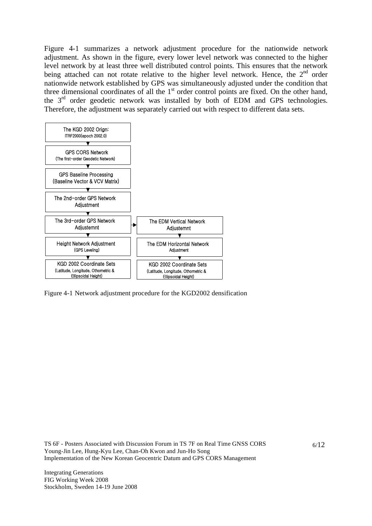Figure 4-1 summarizes a network adjustment procedure for the nationwide network adjustment. As shown in the figure, every lower level network was connected to the higher level network by at least three well distributed control points. This ensures that the network being attached can not rotate relative to the higher level network. Hence, the  $2<sup>nd</sup>$  order nationwide network established by GPS was simultaneously adjusted under the condition that three dimensional coordinates of all the  $1<sup>st</sup>$  order control points are fixed. On the other hand, the  $3<sup>rd</sup>$  order geodetic network was installed by both of EDM and GPS technologies. Therefore, the adjustment was separately carried out with respect to different data sets.



Figure 4-1 Network adjustment procedure for the KGD2002 densification

TS 6F - Posters Associated with Discussion Forum in TS 7F on Real Time GNSS CORS Young-Jin Lee, Hung-Kyu Lee, Chan-Oh Kwon and Jun-Ho Song Implementation of the New Korean Geocentric Datum and GPS CORS Management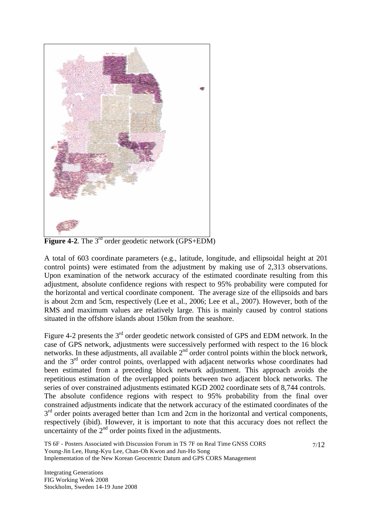

**Figure 4-2.** The 3<sup>rd</sup> order geodetic network (GPS+EDM)

A total of 603 coordinate parameters (e.g., latitude, longitude, and ellipsoidal height at 201 control points) were estimated from the adjustment by making use of 2,313 observations. Upon examination of the network accuracy of the estimated coordinate resulting from this adjustment, absolute confidence regions with respect to 95% probability were computed for the horizontal and vertical coordinate component. The average size of the ellipsoids and bars is about 2cm and 5cm, respectively (Lee et al., 2006; Lee et al., 2007). However, both of the RMS and maximum values are relatively large. This is mainly caused by control stations situated in the offshore islands about 150km from the seashore.

Figure 4-2 presents the  $3<sup>rd</sup>$  order geodetic network consisted of GPS and EDM network. In the case of GPS network, adjustments were successively performed with respect to the 16 block networks. In these adjustments, all available  $2<sup>nd</sup>$  order control points within the block network, and the  $3<sup>rd</sup>$  order control points, overlapped with adjacent networks whose coordinates had been estimated from a preceding block network adjustment. This approach avoids the repetitious estimation of the overlapped points between two adjacent block networks. The series of over constrained adjustments estimated KGD 2002 coordinate sets of 8,744 controls. The absolute confidence regions with respect to 95% probability from the final over constrained adjustments indicate that the network accuracy of the estimated coordinates of the  $3<sup>rd</sup>$  order points averaged better than 1cm and 2cm in the horizontal and vertical components, respectively (ibid). However, it is important to note that this accuracy does not reflect the uncertainty of the  $2<sup>nd</sup>$  order points fixed in the adjustments.

7/12

TS 6F - Posters Associated with Discussion Forum in TS 7F on Real Time GNSS CORS Young-Jin Lee, Hung-Kyu Lee, Chan-Oh Kwon and Jun-Ho Song Implementation of the New Korean Geocentric Datum and GPS CORS Management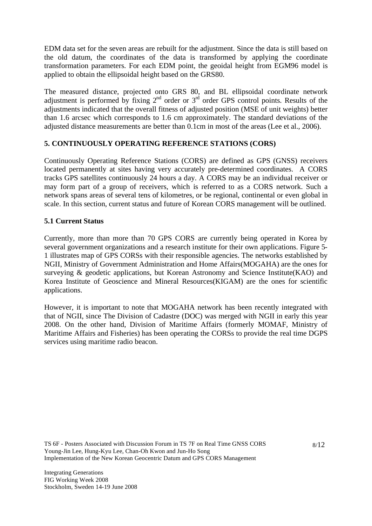EDM data set for the seven areas are rebuilt for the adjustment. Since the data is still based on the old datum, the coordinates of the data is transformed by applying the coordinate transformation parameters. For each EDM point, the geoidal height from EGM96 model is applied to obtain the ellipsoidal height based on the GRS80.

The measured distance, projected onto GRS 80, and BL ellipsoidal coordinate network adjustment is performed by fixing 2<sup>nd</sup> order or 3<sup>rd</sup> order GPS control points. Results of the adjustments indicated that the overall fitness of adjusted position (MSE of unit weights) better than 1.6 arcsec which corresponds to 1.6 cm approximately. The standard deviations of the adjusted distance measurements are better than 0.1cm in most of the areas (Lee et al., 2006).

## **5. CONTINUOUSLY OPERATING REFERENCE STATIONS (CORS)**

Continuously Operating Reference Stations (CORS) are defined as GPS (GNSS) receivers located permanently at sites having very accurately pre-determined coordinates. A CORS tracks GPS satellites continuously 24 hours a day. A CORS may be an individual receiver or may form part of a group of receivers, which is referred to as a CORS network. Such a network spans areas of several tens of kilometres, or be regional, continental or even global in scale. In this section, current status and future of Korean CORS management will be outlined.

### **5.1 Current Status**

Currently, more than more than 70 GPS CORS are currently being operated in Korea by several government organizations and a research institute for their own applications. Figure 5- 1 illustrates map of GPS CORSs with their responsible agencies. The networks established by NGII, Ministry of Government Administration and Home Affairs(MOGAHA) are the ones for surveying & geodetic applications, but Korean Astronomy and Science Institute(KAO) and Korea Institute of Geoscience and Mineral Resources(KIGAM) are the ones for scientific applications.

However, it is important to note that MOGAHA network has been recently integrated with that of NGII, since The Division of Cadastre (DOC) was merged with NGII in early this year 2008. On the other hand, Division of Maritime Affairs (formerly MOMAF, Ministry of Maritime Affairs and Fisheries) has been operating the CORSs to provide the real time DGPS services using maritime radio beacon.

TS 6F - Posters Associated with Discussion Forum in TS 7F on Real Time GNSS CORS Young-Jin Lee, Hung-Kyu Lee, Chan-Oh Kwon and Jun-Ho Song Implementation of the New Korean Geocentric Datum and GPS CORS Management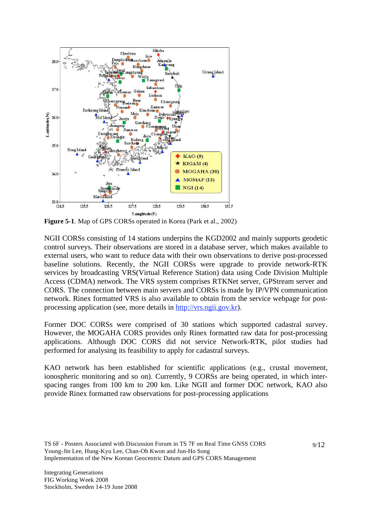

**Figure 5-1**. Map of GPS CORSs operated in Korea (Park et al., 2002)

NGII CORSs consisting of 14 stations underpins the KGD2002 and mainly supports geodetic control surveys. Their observations are stored in a database server, which makes available to external users, who want to reduce data with their own observations to derive post-processed baseline solutions. Recently, the NGII CORSs were upgrade to provide network-RTK services by broadcasting VRS(Virtual Reference Station) data using Code Division Multiple Access (CDMA) network. The VRS system comprises RTKNet server, GPStream server and CORS. The connection between main servers and CORSs is made by IP/VPN communication network. Rinex formatted VRS is also available to obtain from the service webpage for postprocessing application (see, more details in http://vrs.ngii.gov.kr).

Former DOC CORSs were comprised of 30 stations which supported cadastral survey. However, the MOGAHA CORS provides only Rinex formatted raw data for post-processing applications. Although DOC CORS did not service Network-RTK, pilot studies had performed for analysing its feasibility to apply for cadastral surveys.

KAO network has been established for scientific applications (e.g., crustal movement, ionospheric monitoring and so on). Currently, 9 CORSs are being operated, in which interspacing ranges from 100 km to 200 km. Like NGII and former DOC network, KAO also provide Rinex formatted raw observations for post-processing applications

TS 6F - Posters Associated with Discussion Forum in TS 7F on Real Time GNSS CORS Young-Jin Lee, Hung-Kyu Lee, Chan-Oh Kwon and Jun-Ho Song Implementation of the New Korean Geocentric Datum and GPS CORS Management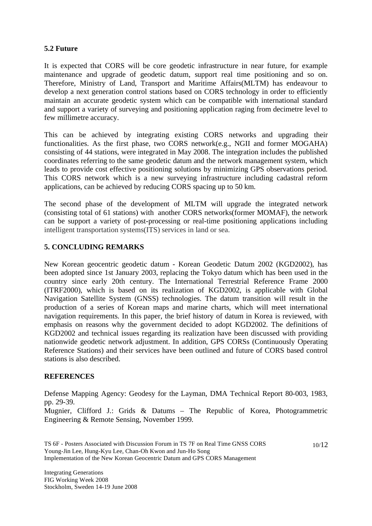### **5.2 Future**

It is expected that CORS will be core geodetic infrastructure in near future, for example maintenance and upgrade of geodetic datum, support real time positioning and so on. Therefore, Ministry of Land, Transport and Maritime Affairs(MLTM) has endeavour to develop a next generation control stations based on CORS technology in order to efficiently maintain an accurate geodetic system which can be compatible with international standard and support a variety of surveying and positioning application raging from decimetre level to few millimetre accuracy.

This can be achieved by integrating existing CORS networks and upgrading their functionalities. As the first phase, two CORS network(e.g., NGII and former MOGAHA) consisting of 44 stations, were integrated in May 2008. The integration includes the published coordinates referring to the same geodetic datum and the network management system, which leads to provide cost effective positioning solutions by minimizing GPS observations period. This CORS network which is a new surveying infrastructure including cadastral reform applications, can be achieved by reducing CORS spacing up to 50 km.

The second phase of the development of MLTM will upgrade the integrated network (consisting total of 61 stations) with another CORS networks(former MOMAF), the network can be support a variety of post-processing or real-time positioning applications including intelligent transportation systems(ITS) services in land or sea.

## **5. CONCLUDING REMARKS**

New Korean geocentric geodetic datum - Korean Geodetic Datum 2002 (KGD2002), has been adopted since 1st January 2003, replacing the Tokyo datum which has been used in the country since early 20th century. The International Terrestrial Reference Frame 2000 (ITRF2000), which is based on its realization of KGD2002, is applicable with Global Navigation Satellite System (GNSS) technologies. The datum transition will result in the production of a series of Korean maps and marine charts, which will meet international navigation requirements. In this paper, the brief history of datum in Korea is reviewed, with emphasis on reasons why the government decided to adopt KGD2002. The definitions of KGD2002 and technical issues regarding its realization have been discussed with providing nationwide geodetic network adjustment. In addition, GPS CORSs (Continuously Operating Reference Stations) and their services have been outlined and future of CORS based control stations is also described.

#### **REFERENCES**

Defense Mapping Agency: Geodesy for the Layman, DMA Technical Report 80-003, 1983, pp. 29-39.

Mugnier, Clifford J.: Grids & Datums – The Republic of Korea, Photogrammetric Engineering & Remote Sensing, November 1999.

10/12

TS 6F - Posters Associated with Discussion Forum in TS 7F on Real Time GNSS CORS Young-Jin Lee, Hung-Kyu Lee, Chan-Oh Kwon and Jun-Ho Song Implementation of the New Korean Geocentric Datum and GPS CORS Management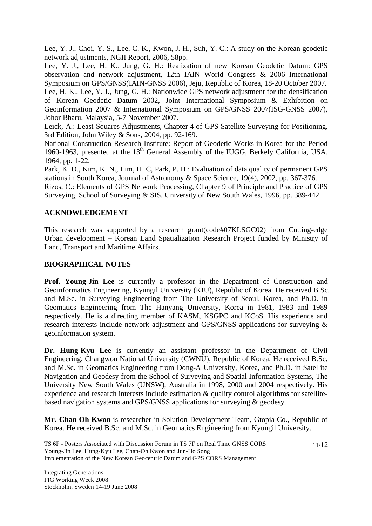Lee, Y. J., Choi, Y. S., Lee, C. K., Kwon, J. H., Suh, Y. C.: A study on the Korean geodetic network adjustments, NGII Report, 2006, 58pp.

Lee, Y. J., Lee, H. K., Jung, G. H.: Realization of new Korean Geodetic Datum: GPS observation and network adjustment, 12th IAIN World Congress & 2006 International Symposium on GPS/GNSS(IAIN-GNSS 2006), Jeju, Republic of Korea, 18-20 October 2007.

Lee, H. K., Lee, Y. J., Jung, G. H.: Nationwide GPS network adjustment for the densification of Korean Geodetic Datum 2002, Joint International Symposium & Exhibition on Geoinformation 2007 & International Symposium on GPS/GNSS 2007(ISG-GNSS 2007), Johor Bharu, Malaysia, 5-7 November 2007.

Leick, A.: Least-Squares Adjustments, Chapter 4 of GPS Satellite Surveying for Positioning, 3rd Edition, John Wiley & Sons, 2004, pp. 92-169.

National Construction Research Institute: Report of Geodetic Works in Korea for the Period 1960-1963, presented at the  $13<sup>th</sup>$  General Assembly of the IUGG, Berkely California, USA, 1964, pp. 1-22.

Park, K. D., Kim, K. N., Lim, H. C, Park, P. H.: Evaluation of data quality of permanent GPS stations in South Korea, Journal of Astronomy & Space Science, 19(4), 2002, pp. 367-376.

Rizos, C.: Elements of GPS Network Processing, Chapter 9 of Principle and Practice of GPS Surveying, School of Surveying & SIS, University of New South Wales, 1996, pp. 389-442.

### **ACKNOWLEDGEMENT**

This research was supported by a research grant(code#07KLSGC02) from Cutting-edge Urban development – Korean Land Spatialization Research Project funded by Ministry of Land, Transport and Maritime Affairs.

#### **BIOGRAPHICAL NOTES**

**Prof. Young-Jin Lee** is currently a professor in the Department of Construction and Geoinformatics Engineering, Kyungil University (KIU), Republic of Korea. He received B.Sc. and M.Sc. in Surveying Engineering from The University of Seoul, Korea, and Ph.D. in Geomatics Engineering from The Hanyang University, Korea in 1981, 1983 and 1989 respectively. He is a directing member of KASM, KSGPC and KCoS. His experience and research interests include network adjustment and GPS/GNSS applications for surveying & geoinformation system.

**Dr. Hung-Kyu Lee** is currently an assistant professor in the Department of Civil Engineering, Changwon National University (CWNU), Republic of Korea. He received B.Sc. and M.Sc. in Geomatics Engineering from Dong-A University, Korea, and Ph.D. in Satellite Navigation and Geodesy from the School of Surveying and Spatial Information Systems, The University New South Wales (UNSW), Australia in 1998, 2000 and 2004 respectively. His experience and research interests include estimation & quality control algorithms for satellitebased navigation systems and GPS/GNSS applications for surveying & geodesy.

**Mr. Chan-Oh Kwon** is researcher in Solution Development Team, Gtopia Co., Republic of Korea. He received B.Sc. and M.Sc. in Geomatics Engineering from Kyungil University.

TS 6F - Posters Associated with Discussion Forum in TS 7F on Real Time GNSS CORS Young-Jin Lee, Hung-Kyu Lee, Chan-Oh Kwon and Jun-Ho Song Implementation of the New Korean Geocentric Datum and GPS CORS Management 11/12